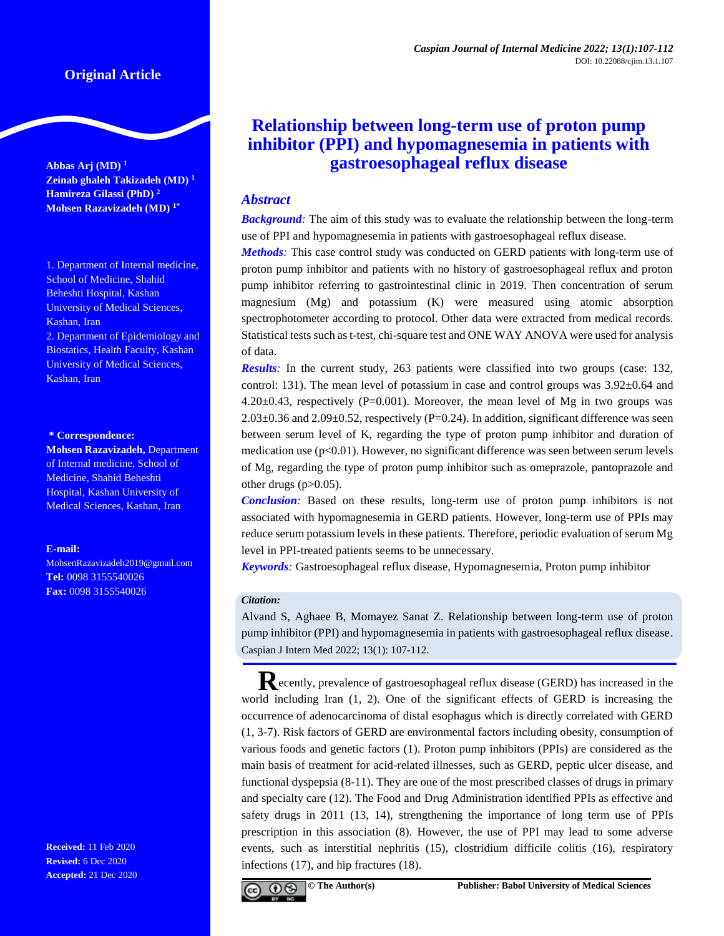# **Original Article**

**Abbas Arj (MD) <sup>1</sup> Zeinab ghaleh Takizadeh (MD) <sup>1</sup> Hamireza Gilassi (PhD) <sup>2</sup> Mohsen Razavizadeh (MD) 1\***

1. Department of Internal medicine, School of Medicine, Shahid Beheshti Hospital, Kashan University of Medical Sciences, Kashan, Iran 2. Department of Epidemiology and

Biostatics, Health Faculty, Kashan University of Medical Sciences, Kashan, Iran

#### **\* Correspondence:**

**Mohsen Razavizadeh,** Department of Internal medicine, School of Medicine, Shahid Beheshti Hospital, Kashan University of Medical Sciences, Kashan, Iran

#### **E-mail:**

[MohsenRazavizadeh2019@gmail.com](mailto:MohsenRazavizadeh2019@gmail.com) **Tel:** 0098 3155540026 **Fax:** 0098 3155540026

**Received:** 11 Feb 2020 **Revised:** 6 Dec 2020 **Accepted:** 21 Dec 2020

# **Relationship between long-term use of proton pump inhibitor (PPI) and hypomagnesemia in patients with gastroesophageal reflux disease**

# *Abstract*

*Background:* The aim of this study was to evaluate the relationship between the long-term use of PPI and hypomagnesemia in patients with gastroesophageal reflux disease.

*Methods:* This case control study was conducted on GERD patients with long-term use of proton pump inhibitor and patients with no history of gastroesophageal reflux and proton pump inhibitor referring to gastrointestinal clinic in 2019. Then concentration of serum magnesium (Mg) and potassium (K) were measured using atomic absorption spectrophotometer according to protocol. Other data were extracted from medical records. Statistical tests such as t-test, chi-square test and ONE WAY ANOVA were used for analysis of data.

*Results:* In the current study, 263 patients were classified into two groups (case: 132, control: 131). The mean level of potassium in case and control groups was 3.92±0.64 and  $4.20\pm0.43$ , respectively (P=0.001). Moreover, the mean level of Mg in two groups was  $2.03\pm0.36$  and  $2.09\pm0.52$ , respectively (P=0.24). In addition, significant difference was seen between serum level of K, regarding the type of proton pump inhibitor and duration of medication use  $(p<0.01)$ . However, no significant difference was seen between serum levels of Mg, regarding the type of proton pump inhibitor such as omeprazole, pantoprazole and other drugs  $(p>0.05)$ .

*Conclusion:* Based on these results, long-term use of proton pump inhibitors is not associated with hypomagnesemia in GERD patients. However, long-term use of PPIs may reduce serum potassium levels in these patients. Therefore, periodic evaluation of serum Mg level in PPI-treated patients seems to be unnecessary.

*Keywords:* Gastroesophageal reflux disease, Hypomagnesemia, Proton pump inhibitor

#### *Citation:*

Alvand S, Aghaee B, Momayez Sanat Z. Relationship between long-term use of proton pump inhibitor (PPI) and hypomagnesemia in patients with gastroesophageal reflux disease. Caspian J Intern Med 2022; 13(1): 107-112.

**R**ecently, prevalence of gastroesophageal reflux disease (GERD) has increased in the world including Iran (1, 2). One of the significant effects of GERD is increasing the occurrence of adenocarcinoma of distal esophagus which is directly correlated with GERD (1, 3-7). Risk factors of GERD are environmental factors including obesity, consumption of various foods and genetic factors (1). Proton pump inhibitors (PPIs) are considered as the main basis of treatment for acid-related illnesses, such as GERD, peptic ulcer disease, and functional dyspepsia (8-11). They are one of the most prescribed classes of drugs in primary and specialty care (12). The Food and Drug Administration identified PPIs as effective and safety drugs in 2011 (13, 14), strengthening the importance of long term use of PPIs prescription in this association (8). However, the use of PPI may lead to some adverse events, such as interstitial nephritis (15), clostridium difficile colitis (16), respiratory infections (17), and hip fractures (18).

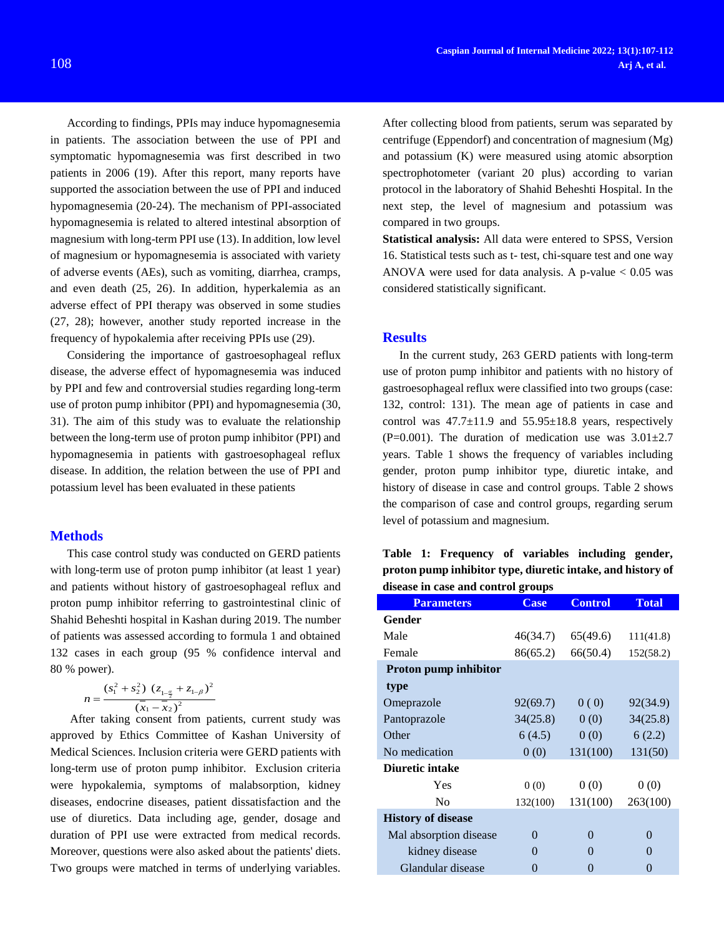According to findings, PPIs may induce hypomagnesemia in patients. The association between the use of PPI and symptomatic hypomagnesemia was first described in two patients in 2006 (19). After this report, many reports have supported the association between the use of PPI and induced hypomagnesemia (20-24). The mechanism of PPI-associated hypomagnesemia is related to altered intestinal absorption of magnesium with long-term PPI use (13). In addition, low level of magnesium or hypomagnesemia is associated with variety of adverse events (AEs), such as vomiting, diarrhea, cramps, and even death (25, 26). In addition, hyperkalemia as an adverse effect of PPI therapy was observed in some studies (27, 28); however, another study reported increase in the frequency of hypokalemia after receiving PPIs use (29).

Considering the importance of gastroesophageal reflux disease, the adverse effect of hypomagnesemia was induced by PPI and few and controversial studies regarding long-term use of proton pump inhibitor (PPI) and hypomagnesemia (30, 31). The aim of this study was to evaluate the relationship between the long-term use of proton pump inhibitor (PPI) and hypomagnesemia in patients with gastroesophageal reflux disease. In addition, the relation between the use of PPI and potassium level has been evaluated in these patients

## **Methods**

This case control study was conducted on GERD patients with long-term use of proton pump inhibitor (at least 1 year) and patients without history of gastroesophageal reflux and proton pump inhibitor referring to gastrointestinal clinic of Shahid Beheshti hospital in Kashan during 2019. The number of patients was assessed according to formula 1 and obtained 132 cases in each group (95 % confidence interval and 80 % power).

$$
n = \frac{(s_1^2 + s_2^2) (z_{1-\frac{\alpha}{2}} + z_{1-\beta})^2}{(\bar{x}_1 - \bar{x}_2)^2}
$$

After taking consent from patients, current study was approved by Ethics Committee of Kashan University of Medical Sciences. Inclusion criteria were GERD patients with long-term use of proton pump inhibitor. Exclusion criteria were hypokalemia, symptoms of malabsorption, kidney diseases, endocrine diseases, patient dissatisfaction and the use of diuretics. Data including age, gender, dosage and duration of PPI use were extracted from medical records. Moreover, questions were also asked about the patients' diets. Two groups were matched in terms of underlying variables.

After collecting blood from patients, serum was separated by centrifuge (Eppendorf) and concentration of magnesium (Mg) and potassium (K) were measured using atomic absorption spectrophotometer (variant 20 plus) according to varian protocol in the laboratory of Shahid Beheshti Hospital. In the next step, the level of magnesium and potassium was compared in two groups.

**Statistical analysis:** All data were entered to SPSS, Version 16. Statistical tests such as t- test, chi-square test and one way ANOVA were used for data analysis. A p-value  $< 0.05$  was considered statistically significant.

# **Results**

In the current study, 263 GERD patients with long-term use of proton pump inhibitor and patients with no history of gastroesophageal reflux were classified into two groups (case: 132, control: 131). The mean age of patients in case and control was  $47.7 \pm 11.9$  and  $55.95 \pm 18.8$  years, respectively  $(P=0.001)$ . The duration of medication use was  $3.01\pm2.7$ years. Table 1 shows the frequency of variables including gender, proton pump inhibitor type, diuretic intake, and history of disease in case and control groups. Table 2 shows the comparison of case and control groups, regarding serum level of potassium and magnesium.

|  | Table 1: Frequency of variables including gender,           |  |  |
|--|-------------------------------------------------------------|--|--|
|  | proton pump inhibitor type, diuretic intake, and history of |  |  |
|  | disease in case and control groups                          |  |  |

| <b>Parameters</b>         | <b>Case</b> | <b>Control</b> | <b>Total</b>      |
|---------------------------|-------------|----------------|-------------------|
| Gender                    |             |                |                   |
| Male                      | 46(34.7)    | 65(49.6)       | 111(41.8)         |
| Female                    | 86(65.2)    | 66(50.4)       | 152(58.2)         |
| Proton pump inhibitor     |             |                |                   |
| type                      |             |                |                   |
| Omeprazole                | 92(69.7)    | 0(0)           | 92(34.9)          |
| Pantoprazole              | 34(25.8)    | 0(0)           | 34(25.8)          |
| Other                     | 6(4.5)      | 0(0)           | 6(2.2)            |
| No medication             | 0(0)        | 131(100)       | 131(50)           |
| Diuretic intake           |             |                |                   |
| Yes                       | 0(0)        | 0(0)           | 0(0)              |
| N <sub>0</sub>            | 132(100)    | 131(100)       | 263(100)          |
| <b>History of disease</b> |             |                |                   |
| Mal absorption disease    | 0           | 0              | $\Omega$          |
| kidney disease            | 0           | 0              | $\Omega$          |
| Glandular disease         | 0           | 0              | $\mathbf{\Omega}$ |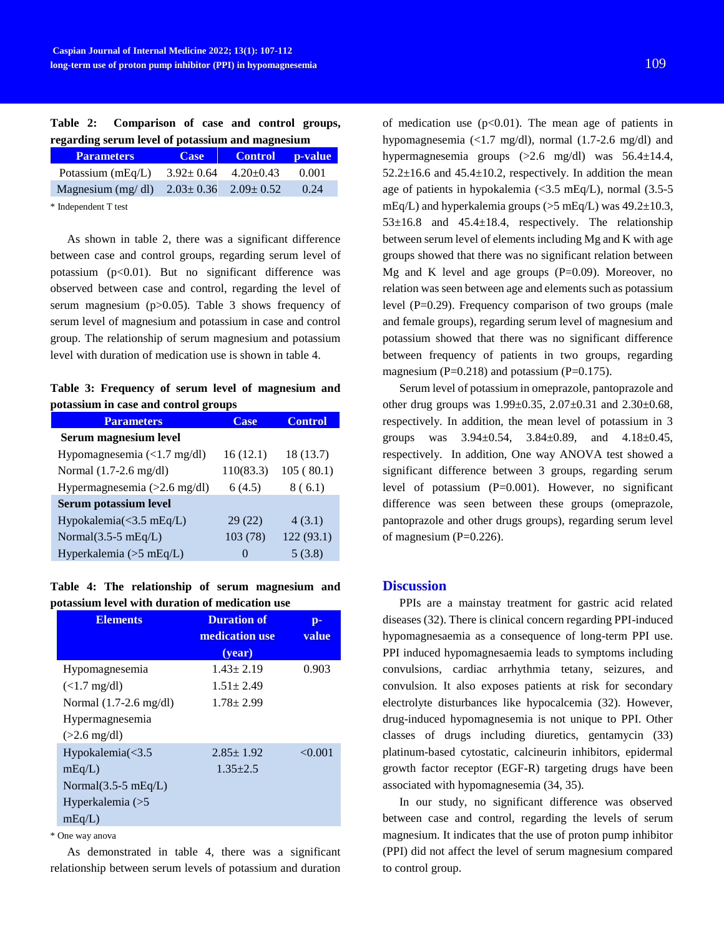|  | Table 2: Comparison of case and control groups,  |  |  |  |
|--|--------------------------------------------------|--|--|--|
|  | regarding serum level of potassium and magnesium |  |  |  |

| <b>Parameters</b>                                 | <b>Case</b>                     | Control p-value |       |
|---------------------------------------------------|---------------------------------|-----------------|-------|
| Potassium $(mEq/L)$                               | $3.92 \pm 0.64$ $4.20 \pm 0.43$ |                 | 0.001 |
| Magnesium (mg/dl) $2.03 \pm 0.36$ $2.09 \pm 0.52$ |                                 |                 | 0.24  |

\* Independent T test

As shown in table 2, there was a significant difference between case and control groups, regarding serum level of potassium  $(p<0.01)$ . But no significant difference was observed between case and control, regarding the level of serum magnesium (p>0.05). Table 3 shows frequency of serum level of magnesium and potassium in case and control group. The relationship of serum magnesium and potassium level with duration of medication use is shown in table 4.

**Table 3: Frequency of serum level of magnesium and potassium in case and control groups**

| <b>Parameters</b>                      | <b>Case</b>  | <b>Control</b> |  |  |  |  |
|----------------------------------------|--------------|----------------|--|--|--|--|
| Serum magnesium level                  |              |                |  |  |  |  |
| Hypomagnesemia $\left($ <1.7 mg/dl)    | 16(12.1)     | 18 (13.7)      |  |  |  |  |
| Normal (1.7-2.6 mg/dl)                 | 110(83.3)    | 105(80.1)      |  |  |  |  |
| Hypermagnesemia (>2.6 mg/dl)           | 6(4.5)       | 8(6.1)         |  |  |  |  |
| Serum potassium level                  |              |                |  |  |  |  |
| Hypokalemia $(\leq 3.5 \text{ mEq/L})$ | 29(22)       | 4(3.1)         |  |  |  |  |
| Normal $(3.5-5 \text{ mEq/L})$         | 103 (78)     | 122 (93.1)     |  |  |  |  |
| Hyperkalemia ( $>5$ mEq/L)             | $\mathbf{0}$ | 5(3.8)         |  |  |  |  |

## **Table 4: The relationship of serum magnesium and potassium level with duration of medication use**

| <b>Elements</b>                  | <b>Duration of</b><br>medication use<br>( <b>year</b> ) | p-<br>value |
|----------------------------------|---------------------------------------------------------|-------------|
| Hypomagnesemia                   | $1.43 \pm 2.19$                                         | 0.903       |
| $(<1.7 \text{ mg/dl})$           | $1.51 \pm 2.49$                                         |             |
| Normal $(1.7-2.6 \text{ mg/dl})$ | $1.78 \pm 2.99$                                         |             |
| Hypermagnesemia                  |                                                         |             |
| $(>2.6 \text{ mg/dl})$           |                                                         |             |
| Hypokalemia $\leq$ 3.5           | $2.85 \pm 1.92$                                         | < 0.001     |
| mEq/L                            | $1.35 + 2.5$                                            |             |
| Normal $(3.5-5 \text{ mEq/L})$   |                                                         |             |
| Hyperkalemia (>5                 |                                                         |             |
| mEq/L                            |                                                         |             |

\* One way anova

As demonstrated in table 4, there was a significant relationship between serum levels of potassium and duration of medication use  $(p<0.01)$ . The mean age of patients in hypomagnesemia (<1.7 mg/dl), normal (1.7-2.6 mg/dl) and hypermagnesemia groups (>2.6 mg/dl) was 56.4±14.4,  $52.2 \pm 16.6$  and  $45.4 \pm 10.2$ , respectively. In addition the mean age of patients in hypokalemia (<3.5 mEq/L), normal (3.5-5 mEq/L) and hyperkalemia groups ( $>5$  mEq/L) was 49.2 $\pm$ 10.3,  $53\pm16.8$  and  $45.4\pm18.4$ , respectively. The relationship between serum level of elements including Mg and K with age groups showed that there was no significant relation between Mg and K level and age groups  $(P=0.09)$ . Moreover, no relation was seen between age and elements such as potassium level  $(P=0.29)$ . Frequency comparison of two groups (male and female groups), regarding serum level of magnesium and potassium showed that there was no significant difference between frequency of patients in two groups, regarding magnesium ( $P=0.218$ ) and potassium ( $P=0.175$ ).

Serum level of potassium in omeprazole, pantoprazole and other drug groups was 1.99±0.35, 2.07±0.31 and 2.30±0.68, respectively. In addition, the mean level of potassium in 3 groups was  $3.94 \pm 0.54$ ,  $3.84 \pm 0.89$ , and  $4.18 \pm 0.45$ , respectively. In addition, One way ANOVA test showed a significant difference between 3 groups, regarding serum level of potassium (P=0.001). However, no significant difference was seen between these groups (omeprazole, pantoprazole and other drugs groups), regarding serum level of magnesium  $(P=0.226)$ .

## **Discussion**

PPIs are a mainstay treatment for gastric acid related diseases (32). There is clinical concern regarding PPI-induced hypomagnesaemia as a consequence of long-term PPI use. PPI induced hypomagnesaemia leads to symptoms including convulsions, cardiac arrhythmia tetany, seizures, and convulsion. It also exposes patients at risk for secondary electrolyte disturbances like hypocalcemia (32). However, drug-induced hypomagnesemia is not unique to PPI. Other classes of drugs including diuretics, gentamycin (33) platinum-based cytostatic, calcineurin inhibitors, epidermal growth factor receptor (EGF-R) targeting drugs have been associated with hypomagnesemia (34, 35).

In our study, no significant difference was observed between case and control, regarding the levels of serum magnesium. It indicates that the use of proton pump inhibitor (PPI) did not affect the level of serum magnesium compared to control group.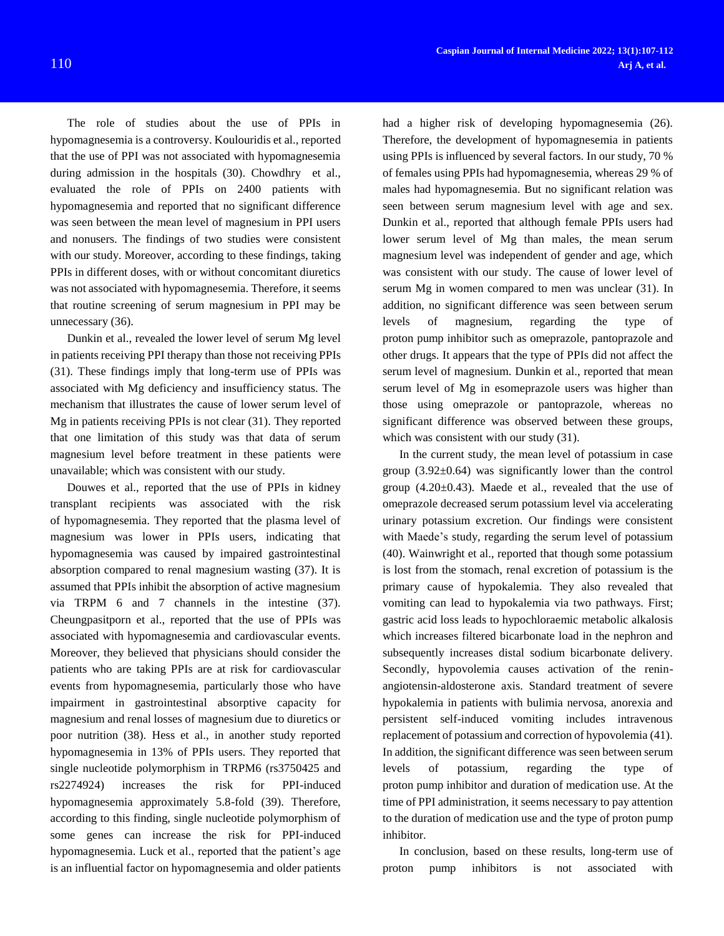The role of studies about the use of PPIs in hypomagnesemia is a controversy. Koulouridis et al., reported that the use of PPI was not associated with hypomagnesemia during admission in the hospitals (30). [Chowdhry](https://www.ncbi.nlm.nih.gov/pubmed/?term=Chowdhry%20M%5BAuthor%5D&cauthor=true&cauthor_uid=29514412) et al., evaluated the role of PPIs on 2400 patients with hypomagnesemia and reported that no significant difference was seen between the mean level of magnesium in PPI users and nonusers. The findings of two studies were consistent with our study. Moreover, according to these findings, taking PPIs in different doses, with or without concomitant diuretics was not associated with hypomagnesemia. Therefore, it seems that routine screening of serum magnesium in PPI may be unnecessary (36).

Dunkin et al., revealed the lower level of serum Mg level in patients receiving PPI therapy than those not receiving PPIs (31). These findings imply that long-term use of PPIs was associated with Mg deficiency and insufficiency status. The mechanism that illustrates the cause of lower serum level of Mg in patients receiving PPIs is not clear (31). They reported that one limitation of this study was that data of serum magnesium level before treatment in these patients were unavailable; which was consistent with our study.

Douwes et al., reported that the use of PPIs in kidney transplant recipients was associated with the risk of hypomagnesemia. They reported that the plasma level of magnesium was lower in PPIs users, indicating that hypomagnesemia was caused by impaired gastrointestinal absorption compared to renal magnesium wasting (37). It is assumed that PPIs inhibit the absorption of active magnesium via TRPM 6 and 7 channels in the intestine (37). Cheungpasitporn et al., reported that the use of PPIs was associated with hypomagnesemia and cardiovascular events. Moreover, they believed that physicians should consider the patients who are taking PPIs are at risk for cardiovascular events from hypomagnesemia, particularly those who have impairment in gastrointestinal absorptive capacity for magnesium and renal losses of magnesium due to diuretics or poor nutrition (38). Hess et al., in another study reported hypomagnesemia in 13% of PPIs users. They reported that single nucleotide polymorphism in TRPM6 (rs3750425 and rs2274924) increases the risk for PPI-induced hypomagnesemia approximately 5.8-fold (39). Therefore, according to this finding, single nucleotide polymorphism of some genes can increase the risk for PPI-induced hypomagnesemia. Luck et al., reported that the patient's age is an influential factor on hypomagnesemia and older patients

had a higher risk of developing hypomagnesemia (26). Therefore, the development of hypomagnesemia in patients using PPIs is influenced by several factors. In our study, 70 % of females using PPIs had hypomagnesemia, whereas 29 % of males had hypomagnesemia. But no significant relation was seen between serum magnesium level with age and sex. Dunkin et al., reported that although female PPIs users had lower serum level of Mg than males, the mean serum magnesium level was independent of gender and age, which was consistent with our study. The cause of lower level of serum Mg in women compared to men was unclear (31). In addition, no significant difference was seen between serum levels of magnesium, regarding the type of proton pump inhibitor such as omeprazole, pantoprazole and other drugs. It appears that the type of PPIs did not affect the serum level of magnesium. Dunkin et al., reported that mean serum level of Mg in esomeprazole users was higher than those using omeprazole or pantoprazole, whereas no significant difference was observed between these groups, which was consistent with our study  $(31)$ .

In the current study, the mean level of potassium in case group  $(3.92\pm0.64)$  was significantly lower than the control group (4.20±0.43). Maede et al., revealed that the use of omeprazole decreased serum potassium level via accelerating urinary potassium excretion. Our findings were consistent with Maede's study, regarding the serum level of potassium (40). Wainwright et al., reported that though some potassium is lost from the stomach, renal excretion of potassium is the primary cause of hypokalemia. They also revealed that vomiting can lead to hypokalemia via two pathways. First; gastric acid loss leads to hypochloraemic metabolic alkalosis which increases filtered bicarbonate load in the nephron and subsequently increases distal sodium bicarbonate delivery. Secondly, hypovolemia causes activation of the reninangiotensin-aldosterone axis. Standard treatment of severe hypokalemia in patients with bulimia nervosa, anorexia and persistent self-induced vomiting includes intravenous replacement of potassium and correction of hypovolemia (41). In addition, the significant difference was seen between serum levels of potassium, regarding the type of proton pump inhibitor and duration of medication use. At the time of PPI administration, it seems necessary to pay attention to the duration of medication use and the type of proton pump inhibitor.

In conclusion, based on these results, long-term use of proton pump inhibitors is not associated with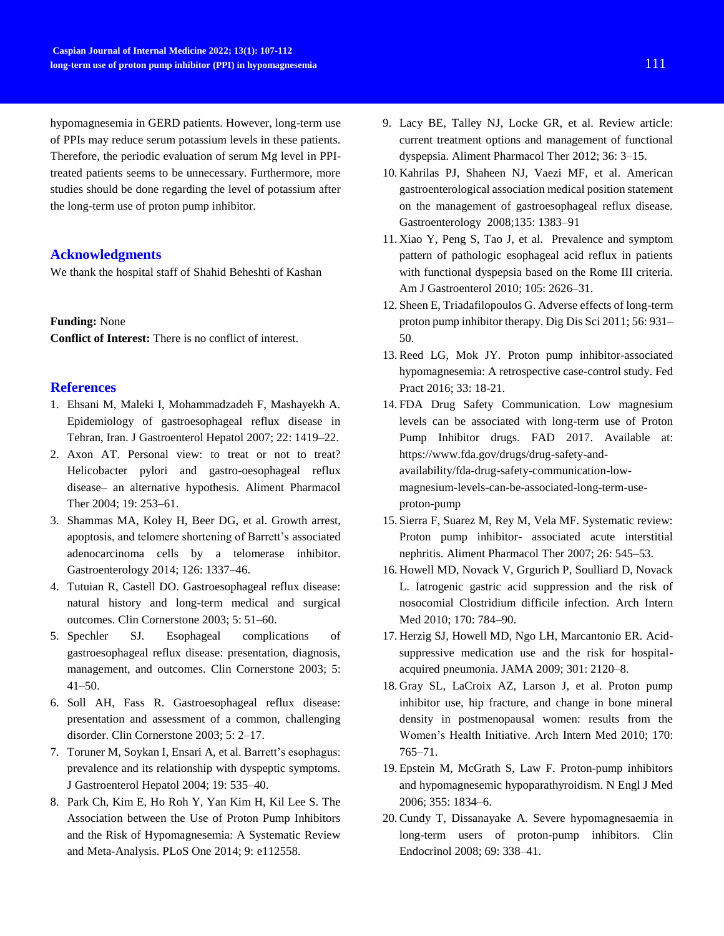hypomagnesemia in GERD patients. However, long-term use of PPIs may reduce serum potassium levels in these patients. Therefore, the periodic evaluation of serum Mg level in PPItreated patients seems to be unnecessary. Furthermore, more studies should be done regarding the level of potassium after the long-term use of proton pump inhibitor.

### **Acknowledgments**

We thank the hospital staff of Shahid Beheshti of Kashan

#### **Funding:** None

**Conflict of Interest:** There is no conflict of interest.

## **References**

- 1. Ehsani M, Maleki I, Mohammadzadeh F, Mashayekh A. Epidemiology of gastroesophageal reflux disease in Tehran, Iran. J Gastroenterol Hepatol 2007; 22: 1419–22.
- 2. Axon AT. Personal view: to treat or not to treat? Helicobacter pylori and gastro-oesophageal reflux disease– an alternative hypothesis. Aliment Pharmacol Ther 2004; 19: 253–61.
- 3. Shammas MA, Koley H, Beer DG, et al. Growth arrest, apoptosis, and telomere shortening of Barrett's associated adenocarcinoma cells by a telomerase inhibitor. Gastroenterology 2014; 126: 1337–46.
- 4. Tutuian R, Castell DO. Gastroesophageal reflux disease: natural history and long-term medical and surgical outcomes. Clin Cornerstone 2003; 5: 51–60.
- 5. Spechler SJ. Esophageal complications of gastroesophageal reflux disease: presentation, diagnosis, management, and outcomes. Clin Cornerstone 2003; 5: 41–50.
- 6. Soll AH, Fass R. Gastroesophageal reflux disease: presentation and assessment of a common, challenging disorder. Clin Cornerstone 2003; 5: 2–17.
- 7. Toruner M, Soykan I, Ensari A, et al. Barrett's esophagus: prevalence and its relationship with dyspeptic symptoms. J Gastroenterol Hepatol 2004; 19: 535–40.
- 8. Park Ch, Kim E, Ho Roh Y, Yan Kim H, Kil Lee S. The Association between the Use of Proton Pump Inhibitors and the Risk of Hypomagnesemia: A Systematic Review and Meta-Analysis. PLoS One 2014; 9: e112558.
- 9. Lacy BE, Talley NJ, Locke GR, et al. Review article: current treatment options and management of functional dyspepsia. Aliment Pharmacol Ther 2012; 36: 3–15.
- 10. Kahrilas PJ, Shaheen NJ, Vaezi MF, et al. American gastroenterological association medical position statement on the management of gastroesophageal reflux disease. Gastroenterology 2008;135: 1383–91
- 11. Xiao Y, Peng S, Tao J, et al. Prevalence and symptom pattern of pathologic esophageal acid reflux in patients with functional dyspepsia based on the Rome III criteria. Am J Gastroenterol 2010; 105: 2626–31.
- 12. Sheen E, Triadafilopoulos G. Adverse effects of long-term proton pump inhibitor therapy. Dig Dis Sci 2011; 56: 931– 50.
- 13. Reed LG, Mok JY. Proton pump inhibitor-associated hypomagnesemia: A retrospective case-control study. Fed Pract 2016; 33: 18-21.
- 14. FDA Drug Safety Communication. Low magnesium levels can be associated with long-term use of Proton Pump Inhibitor drugs. FAD 2017. Available at: https://www.fda.gov/drugs/drug-safety-andavailability/fda-drug-safety-communication-lowmagnesium-levels-can-be-associated-long-term-useproton-pump
- 15. Sierra F, Suarez M, Rey M, Vela MF. Systematic review: Proton pump inhibitor- associated acute interstitial nephritis. Aliment Pharmacol Ther 2007; 26: 545–53.
- 16. Howell MD, Novack V, Grgurich P, Soulliard D, Novack L. Iatrogenic gastric acid suppression and the risk of nosocomial Clostridium difficile infection. Arch Intern Med 2010; 170: 784–90.
- 17. Herzig SJ, Howell MD, Ngo LH, Marcantonio ER. Acidsuppressive medication use and the risk for hospitalacquired pneumonia. JAMA 2009; 301: 2120–8.
- 18. Gray SL, LaCroix AZ, Larson J, et al. Proton pump inhibitor use, hip fracture, and change in bone mineral density in postmenopausal women: results from the Women's Health Initiative. Arch Intern Med 2010; 170: 765–71.
- 19. Epstein M, McGrath S, Law F. Proton-pump inhibitors and hypomagnesemic hypoparathyroidism. N Engl J Med 2006; 355: 1834–6.
- 20. Cundy T, Dissanayake A. Severe hypomagnesaemia in long-term users of proton-pump inhibitors. Clin Endocrinol 2008; 69: 338–41.